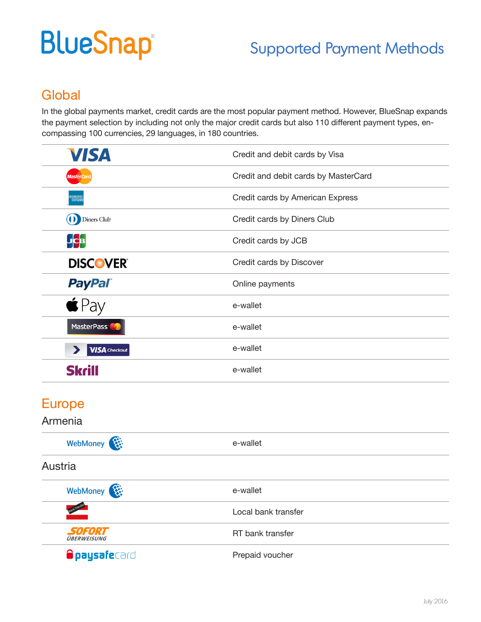# **BlueSnap®**

## Supported Payment Methods

## **Global**

In the global payments market, credit cards are the most popular payment method. However, BlueSnap expands the payment selection by including not only the major credit cards but also 110 different payment types, encompassing 100 currencies, 29 languages, in 180 countries.

| <b>VISA</b>                                   | Credit and debit cards by Visa       |
|-----------------------------------------------|--------------------------------------|
| <b>MasterCan</b>                              | Credit and debit cards by MasterCard |
| <b>EXPRIN</b>                                 | Credit cards by American Express     |
| <b>(1)</b> Diners Club                        | Credit cards by Diners Club          |
| <b>JCB</b>                                    | Credit cards by JCB                  |
| <b>DISCOVER</b>                               | Credit cards by Discover             |
| <b>PayPal</b>                                 | Online payments                      |
|                                               | e-wallet                             |
| MasterPass                                    | e-wallet                             |
| <b>VISA</b> Checkout<br>$\blacktriangleright$ | e-wallet                             |
| Skri                                          | e-wallet                             |

### Europe

#### Armenia

| WebMoney                            | e-wallet            |  |
|-------------------------------------|---------------------|--|
| Austria                             |                     |  |
| WebMoney                            | e-wallet            |  |
| Bank Transfe                        | Local bank transfer |  |
| <i>SOFORT</i><br><b>ÜBERWEISUNG</b> | RT bank transfer    |  |
| <b>Opaysafe</b> card                | Prepaid voucher     |  |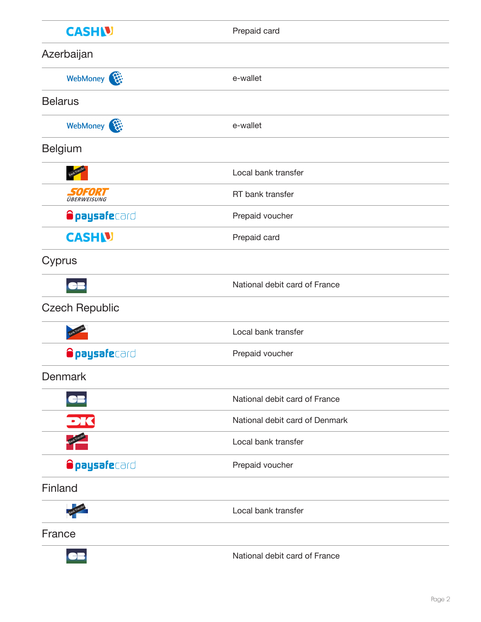| <b>CASHU</b>                 | Prepaid card                   |
|------------------------------|--------------------------------|
| Azerbaijan                   |                                |
| WebMoney                     | e-wallet                       |
| <b>Belarus</b>               |                                |
| WebMoney                     | e-wallet                       |
| <b>Belgium</b>               |                                |
|                              | Local bank transfer            |
| SOFORT<br><b>ÜBERWEISUNG</b> | RT bank transfer               |
| <b>Opaysafe</b> card         | Prepaid voucher                |
| <b>CASHIV</b>                | Prepaid card                   |
| Cyprus                       |                                |
|                              | National debit card of France  |
| <b>Czech Republic</b>        |                                |
|                              | Local bank transfer            |
| <b>Opaysafe</b> card         | Prepaid voucher                |
| <b>Denmark</b>               |                                |
|                              | National debit card of France  |
| DK                           | National debit card of Denmark |
|                              | Local bank transfer            |
| <b>Opaysafe</b> card         | Prepaid voucher                |
| Finland                      |                                |
|                              | Local bank transfer            |
| France                       |                                |
|                              | National debit card of France  |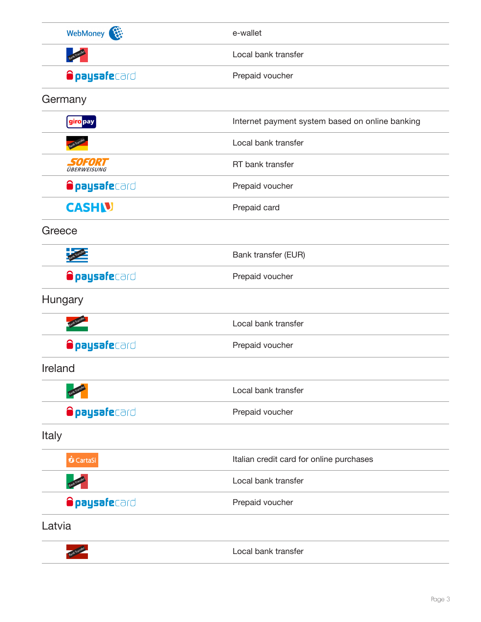| WebMoney             | e-wallet                                        |
|----------------------|-------------------------------------------------|
|                      | Local bank transfer                             |
| <b>Opaysafe</b> card | Prepaid voucher                                 |
| Germany              |                                                 |
| giro pay             | Internet payment system based on online banking |
|                      | Local bank transfer                             |
| <b>SOFORT</b>        | RT bank transfer                                |
| <b>Opaysafe</b> card | Prepaid voucher                                 |
| <b>CASHN</b>         | Prepaid card                                    |
| Greece               |                                                 |
|                      | Bank transfer (EUR)                             |
| <b>Opaysafe</b> card | Prepaid voucher                                 |
| Hungary              |                                                 |
|                      | Local bank transfer                             |
| <b>Opaysafe</b> card | Prepaid voucher                                 |
| Ireland              |                                                 |
|                      | Local bank transfer                             |
| <b>Opaysafe</b> card | Prepaid voucher                                 |
| Italy                |                                                 |
| <b>O</b> CartaSi     | Italian credit card for online purchases        |
|                      | Local bank transfer                             |
| <b>Opaysafe</b> card | Prepaid voucher                                 |
| Latvia               |                                                 |
| <b>Tranship</b>      | Local bank transfer                             |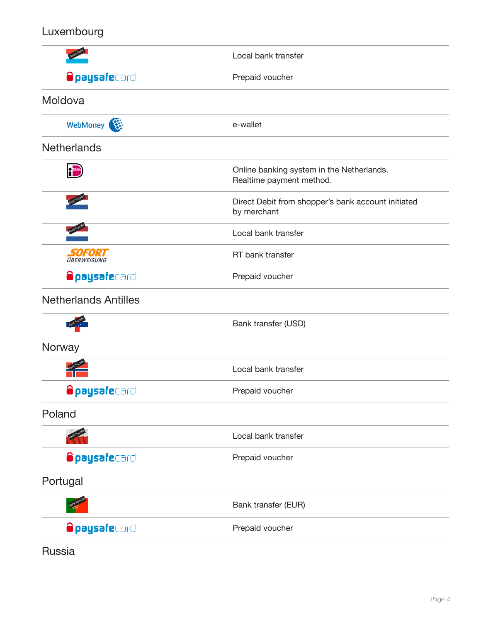### Luxembourg

|                             | Local bank transfer                                                   |
|-----------------------------|-----------------------------------------------------------------------|
| <b>Opaysafe</b> card        | Prepaid voucher                                                       |
| Moldova                     |                                                                       |
| WebMoney                    | e-wallet                                                              |
| <b>Netherlands</b>          |                                                                       |
| <b>OPEAL</b>                | Online banking system in the Netherlands.<br>Realtime payment method. |
|                             | Direct Debit from shopper's bank account initiated<br>by merchant     |
|                             | Local bank transfer                                                   |
| SOFORT<br>ÜBERWEISUNG       | RT bank transfer                                                      |
| <b>Opaysafe</b> card        | Prepaid voucher                                                       |
| <b>Netherlands Antilles</b> |                                                                       |
|                             | Bank transfer (USD)                                                   |
| Norway                      |                                                                       |
|                             | Local bank transfer                                                   |
| <b>Opaysafe</b> card        | Prepaid voucher                                                       |
| Poland                      |                                                                       |
|                             | Local bank transfer                                                   |
| <b>Opaysafe</b> card        | Prepaid voucher                                                       |
| Portugal                    |                                                                       |
|                             | Bank transfer (EUR)                                                   |
| <b>Opaysafe</b> card        | Prepaid voucher                                                       |

Russia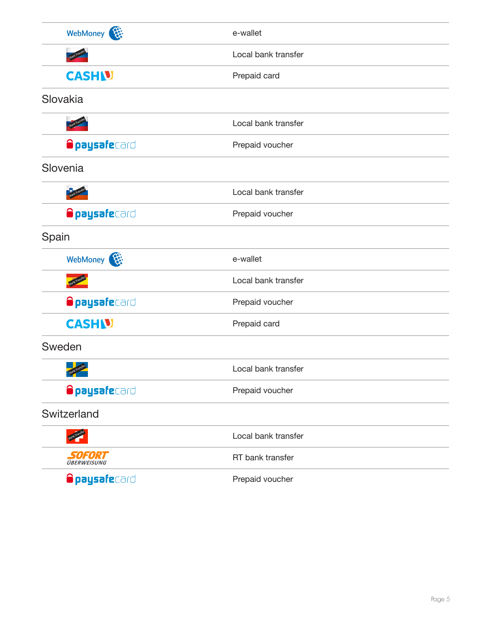| WebMoney              | e-wallet            |
|-----------------------|---------------------|
|                       | Local bank transfer |
| <b>CASHU</b>          | Prepaid card        |
| Slovakia              |                     |
|                       | Local bank transfer |
| <b>Opaysafe</b> card  | Prepaid voucher     |
| Slovenia              |                     |
|                       | Local bank transfer |
| <b>Opaysafe</b> card  | Prepaid voucher     |
| Spain                 |                     |
| WebMoney              | e-wallet            |
|                       | Local bank transfer |
| <b>Opaysafe</b> card  | Prepaid voucher     |
| <b>CASHU</b>          | Prepaid card        |
| Sweden                |                     |
|                       | Local bank transfer |
| <b>Opaysafe</b> card  | Prepaid voucher     |
| Switzerland           |                     |
|                       | Local bank transfer |
| SOFORT<br>ÜBERWEISUNG | RT bank transfer    |
| <b>Opaysafe</b> card  | Prepaid voucher     |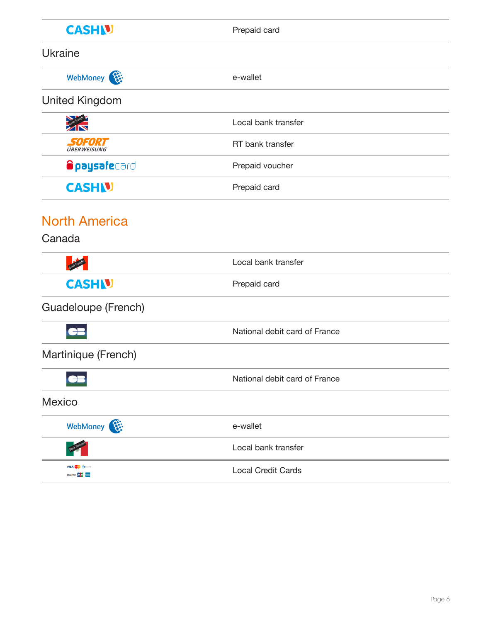| <b>CASHN</b>                       | Prepaid card                  |
|------------------------------------|-------------------------------|
| <b>Ukraine</b>                     |                               |
| WebMoney                           | e-wallet                      |
| <b>United Kingdom</b>              |                               |
|                                    | Local bank transfer           |
| <b>SOFORT</b>                      | RT bank transfer              |
| <b>Opaysafe</b> card               | Prepaid voucher               |
| <b>CASHU</b>                       | Prepaid card                  |
| <b>North America</b>               |                               |
| Canada                             |                               |
|                                    | Local bank transfer           |
| <b>CASHN</b>                       | Prepaid card                  |
| Guadeloupe (French)                |                               |
|                                    | National debit card of France |
| Martinique (French)                |                               |
|                                    | National debit card of France |
| <b>Mexico</b>                      |                               |
| WebMoney                           | e-wallet                      |
|                                    | Local bank transfer           |
| <b>VISA</b><br>DISCOVER <b>DOD</b> | <b>Local Credit Cards</b>     |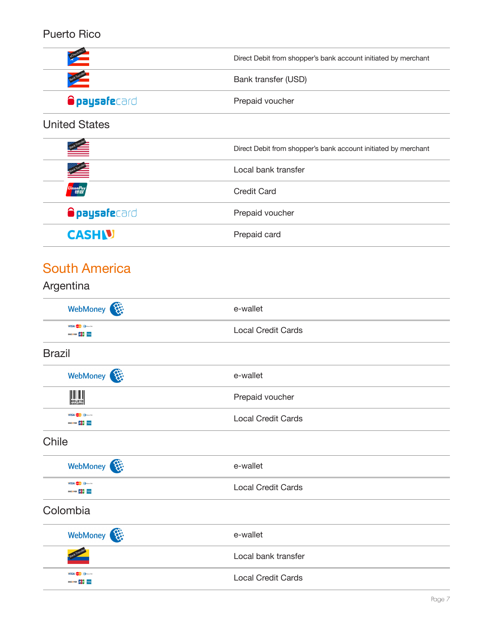#### Puerto Rico



#### United States

|                      | Direct Debit from shopper's bank account initiated by merchant |
|----------------------|----------------------------------------------------------------|
| Bank Transf          | Local bank transfer                                            |
|                      | <b>Credit Card</b>                                             |
| <b>Opaysafe</b> card | Prepaid voucher                                                |
| <b>CASHN</b>         | Prepaid card                                                   |

## South America

| Argentina                                                                        |                           |
|----------------------------------------------------------------------------------|---------------------------|
| WebMoney                                                                         | e-wallet                  |
| VISA <b>OD</b> DIGITAL<br><b>DISCOVER DEED THE</b>                               | <b>Local Credit Cards</b> |
| <b>Brazil</b>                                                                    |                           |
| WebMoney                                                                         | e-wallet                  |
| $\left \left \left \left \left \left \right \right \right \right \right $ BOLETO | Prepaid voucher           |
| VISA <b>O DISCOVERED</b><br><b>DISCOVER DICE THEIR</b>                           | <b>Local Credit Cards</b> |
| Chile                                                                            |                           |
| WebMoney                                                                         | e-wallet                  |
| VISA <sup>C</sup> DramCab<br><b>DISCOVER DO DE MINIS</b>                         | <b>Local Credit Cards</b> |
| Colombia                                                                         |                           |
| WebMoney                                                                         | e-wallet                  |
|                                                                                  | Local bank transfer       |
| VISA <b>DESCRIPTION</b><br><b>DISCOVER DOES</b>                                  | <b>Local Credit Cards</b> |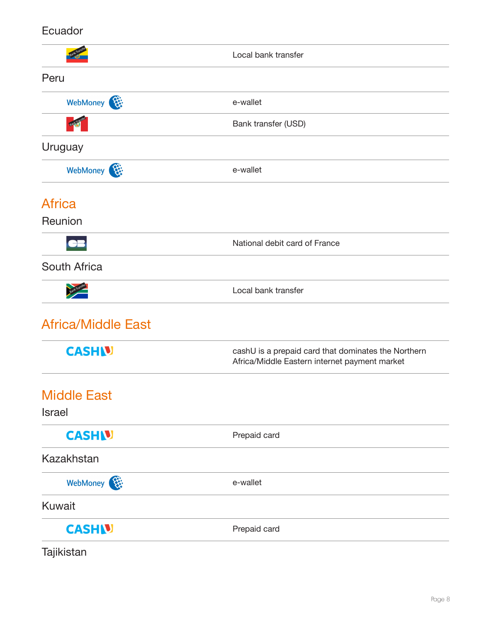#### Ecuador

|                                     | Local bank transfer                                                                                  |
|-------------------------------------|------------------------------------------------------------------------------------------------------|
| Peru                                |                                                                                                      |
| WebMoney                            | e-wallet                                                                                             |
|                                     | Bank transfer (USD)                                                                                  |
| Uruguay                             |                                                                                                      |
| WebMoney                            | e-wallet                                                                                             |
| <b>Africa</b>                       |                                                                                                      |
| Reunion                             |                                                                                                      |
|                                     | National debit card of France                                                                        |
| South Africa                        |                                                                                                      |
| Bank Transfer                       | Local bank transfer                                                                                  |
| <b>Africa/Middle East</b>           |                                                                                                      |
| <b>CASHU</b>                        | cashU is a prepaid card that dominates the Northern<br>Africa/Middle Eastern internet payment market |
| <b>Middle East</b><br><b>Israel</b> |                                                                                                      |
| <b>CASHN</b>                        | Prepaid card                                                                                         |
| <b>Kazakhstan</b>                   |                                                                                                      |
| WebMoney                            | e-wallet                                                                                             |
| <b>Kuwait</b>                       |                                                                                                      |
| <b>CASHN</b>                        | Prepaid card                                                                                         |

Tajikistan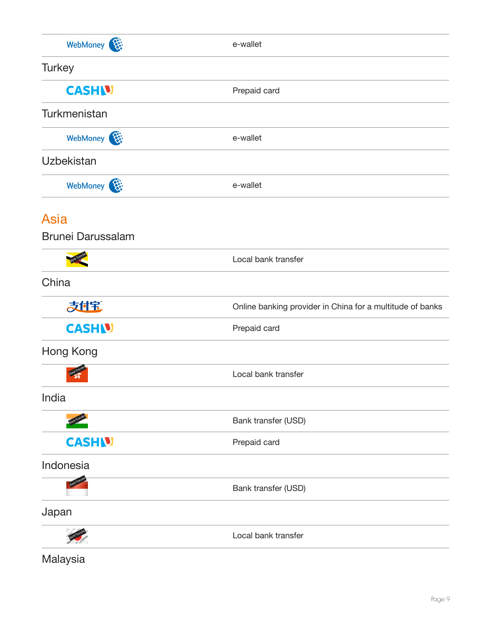| WebMoney                 | e-wallet                                                  |
|--------------------------|-----------------------------------------------------------|
| <b>Turkey</b>            |                                                           |
| <b>CASH V</b>            | Prepaid card                                              |
| Turkmenistan             |                                                           |
| WebMoney                 | e-wallet                                                  |
| <b>Uzbekistan</b>        |                                                           |
| WebMoney                 | e-wallet                                                  |
| <b>Asia</b>              |                                                           |
| <b>Brunei Darussalam</b> |                                                           |
|                          | Local bank transfer                                       |
| China                    |                                                           |
| 大付宝                      | Online banking provider in China for a multitude of banks |
| <b>CASHIV</b>            | Prepaid card                                              |
| Hong Kong                |                                                           |
|                          | Local bank transfer                                       |
| India                    |                                                           |
|                          | Bank transfer (USD)                                       |
| <b>CASHIV</b>            | Prepaid card                                              |
| Indonesia                |                                                           |
|                          | Bank transfer (USD)                                       |
| Japan                    |                                                           |
|                          | Local bank transfer                                       |

Malaysia